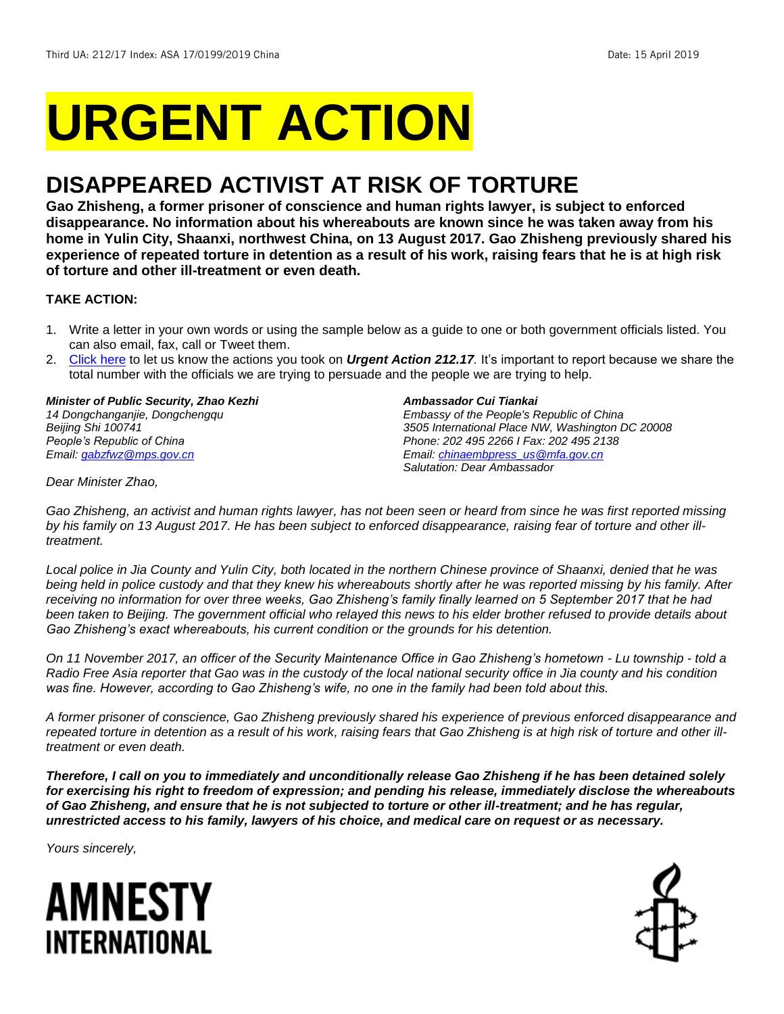# **URGENT ACTION**

## **DISAPPEARED ACTIVIST AT RISK OF TORTURE**

**Gao Zhisheng, a former prisoner of conscience and human rights lawyer, is subject to enforced disappearance. No information about his whereabouts are known since he was taken away from his home in Yulin City, Shaanxi, northwest China, on 13 August 2017. Gao Zhisheng previously shared his experience of repeated torture in detention as a result of his work, raising fears that he is at high risk of torture and other ill-treatment or even death.**

#### **TAKE ACTION:**

- 1. Write a letter in your own words or using the sample below as a guide to one or both government officials listed. You can also email, fax, call or Tweet them.
- 2. [Click here](https://www.amnestyusa.org/report-urgent-actions/) to let us know the actions you took on *Urgent Action 212.17.* It's important to report because we share the total number with the officials we are trying to persuade and the people we are trying to help.

*Minister of Public Security, Zhao Kezhi 14 Dongchanganjie, Dongchengqu Beijing Shi 100741 People's Republic of China Email: [gabzfwz@mps.gov.cn](mailto:gabzfwz@mps.gov.cn)*

#### *Ambassador Cui Tiankai*

*Embassy of the People's Republic of China 3505 International Place NW, Washington DC 20008 Phone: 202 495 2266 I Fax: 202 495 2138 Email[: chinaembpress\\_us@mfa.gov.cn](mailto:chinaembpress_us@mfa.gov.cn) Salutation: Dear Ambassador*

*Dear Minister Zhao,*

*Gao Zhisheng, an activist and human rights lawyer, has not been seen or heard from since he was first reported missing by his family on 13 August 2017. He has been subject to enforced disappearance, raising fear of torture and other illtreatment.*

*Local police in Jia County and Yulin City, both located in the northern Chinese province of Shaanxi, denied that he was being held in police custody and that they knew his whereabouts shortly after he was reported missing by his family. After*  receiving no information for over three weeks, Gao Zhisheng's family finally learned on 5 September 2017 that he had *been taken to Beijing. The government official who relayed this news to his elder brother refused to provide details about Gao Zhisheng's exact whereabouts, his current condition or the grounds for his detention.* 

*On 11 November 2017, an officer of the Security Maintenance Office in Gao Zhisheng's hometown - Lu township - told a Radio Free Asia reporter that Gao was in the custody of the local national security office in Jia county and his condition was fine. However, according to Gao Zhisheng's wife, no one in the family had been told about this.*

*A former prisoner of conscience, Gao Zhisheng previously shared his experience of previous enforced disappearance and*  repeated torture in detention as a result of his work, raising fears that Gao Zhisheng is at high risk of torture and other ill*treatment or even death.*

*Therefore, I call on you to immediately and unconditionally release Gao Zhisheng if he has been detained solely for exercising his right to freedom of expression; and pending his release, immediately disclose the whereabouts of Gao Zhisheng, and ensure that he is not subjected to torture or other ill-treatment; and he has regular, unrestricted access to his family, lawyers of his choice, and medical care on request or as necessary.*

*Yours sincerely,*